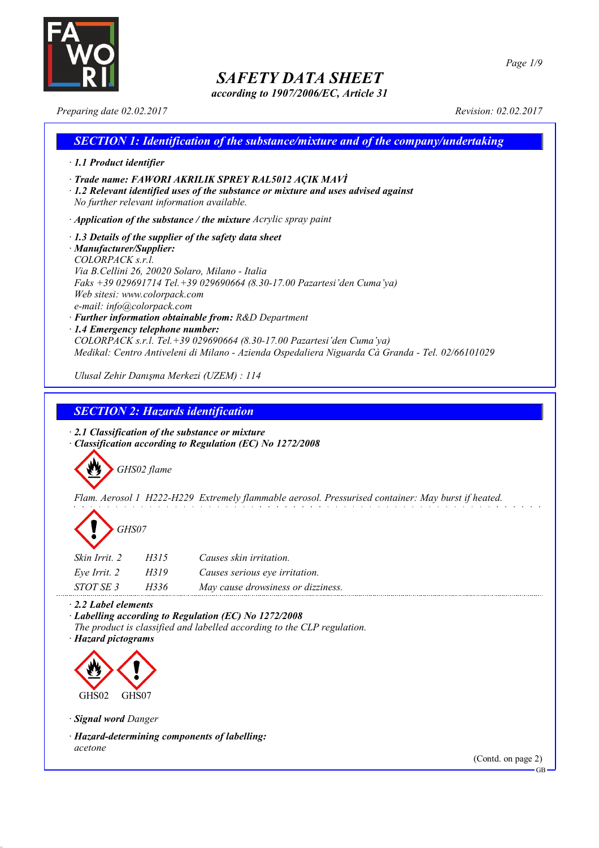

*according to 1907/2006/EC, Article 31*

*Page 1/9*

*Preparing date 02.02.2017 Revision: 02.02.2017*

## *SECTION 1: Identification of the substance/mixture and of the company/undertaking · 1.1 Product identifier · Trade name: FAWORI AKRILIK SPREY RAL5012 AÇIK MAVİ · 1.2 Relevant identified uses of the substance or mixture and uses advised against No further relevant information available. · Application of the substance / the mixture Acrylic spray paint · 1.3 Details of the supplier of the safety data sheet · Manufacturer/Supplier: COLORPACK s.r.l. Via B.Cellini 26, 20020 Solaro, Milano - Italia Faks +39 029691714 Tel.+39 029690664 (8.30-17.00 Pazartesi'den Cuma'ya) Web sitesi: www.colorpack.com e-mail: info@colorpack.com · Further information obtainable from: R&D Department · 1.4 Emergency telephone number: COLORPACK s.r.l. Tel.+39 029690664 (8.30-17.00 Pazartesi'den Cuma'ya) Medikal: Centro Antiveleni di Milano - Azienda Ospedaliera Niguarda Cà Granda - Tel. 02/66101029 Ulusal Zehir Danışma Merkezi (UZEM) : 114*

*SECTION 2: Hazards identification*

*· 2.1 Classification of the substance or mixture · Classification according to Regulation (EC) No 1272/2008*



*Flam. Aerosol 1 H222-H229 Extremely flammable aerosol. Pressurised container: May burst if heated.*



| Skin Irrit. 2 | H315 | Causes skin irritation.            |
|---------------|------|------------------------------------|
| Eye Irrit. 2  | H319 | Causes serious eye irritation.     |
| STOT SE 3     | H336 | May cause drowsiness or dizziness. |

*· 2.2 Label elements*

*· Labelling according to Regulation (EC) No 1272/2008 The product is classified and labelled according to the CLP regulation.*

*· Hazard pictograms*



*· Signal word Danger*

*· Hazard-determining components of labelling: acetone*

(Contd. on page 2)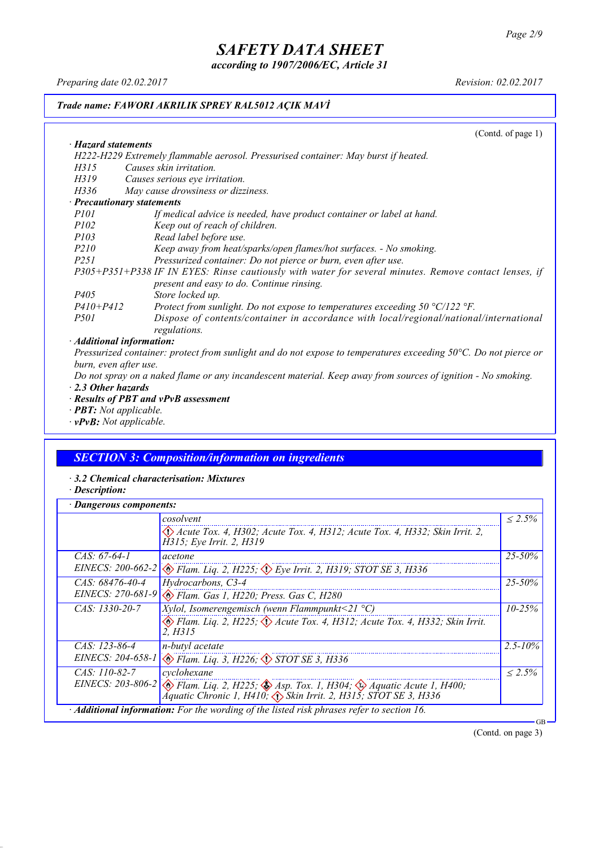*according to 1907/2006/EC, Article 31*

*Preparing date 02.02.2017 Revision: 02.02.2017*

### *Trade name: FAWORI AKRILIK SPREY RAL5012 AÇIK MAVİ*

(Contd. of page 1)

| · Hazard statements                                                                                                   |
|-----------------------------------------------------------------------------------------------------------------------|
| H222-H229 Extremely flammable aerosol. Pressurised container: May burst if heated.                                    |
| Causes skin irritation.<br>H315                                                                                       |
| H319<br>Causes serious eye irritation.                                                                                |
| May cause drowsiness or dizziness.<br>H336                                                                            |
| · Precautionary statements                                                                                            |
| <i>P101</i><br>If medical advice is needed, have product container or label at hand.                                  |
| <i>P102</i><br>Keep out of reach of children.                                                                         |
| <i>P103</i><br>Read label before use.                                                                                 |
| <i>P210</i><br>Keep away from heat/sparks/open flames/hot surfaces. - No smoking.                                     |
| Pressurized container: Do not pierce or burn, even after use.<br><i>P251</i>                                          |
| P305+P351+P338 IF IN EYES: Rinse cautiously with water for several minutes. Remove contact lenses, if                 |
| present and easy to do. Continue rinsing.                                                                             |
| Store locked up.<br><i>P405</i>                                                                                       |
| $P410 + P412$<br>Protect from sunlight. Do not expose to temperatures exceeding $50 \degree C/122 \degree F$ .        |
| Dispose of contents/container in accordance with local/regional/national/international<br><i>P501</i><br>regulations. |
| · Additional information:                                                                                             |

Pressurized container: protect from sunlight and do not expose to temperatures exceeding 50°C. Do not pierce or *burn, even after use.*

Do not spray on a naked flame or any incandescent material. Keep away from sources of ignition - No smoking. *· 2.3 Other hazards*

- *· Results of PBT and vPvB assessment*
- *· PBT: Not applicable.*
- *· vPvB: Not applicable.*

## *SECTION 3: Composition/information on ingredients*

- *· 3.2 Chemical characterisation: Mixtures*
- *· Description:*

| Dangerous components: |                                                                                                                                                                                           |              |
|-----------------------|-------------------------------------------------------------------------------------------------------------------------------------------------------------------------------------------|--------------|
|                       | cosolvent                                                                                                                                                                                 | $< 2.5\%$    |
|                       | Acute Tox. 4, H302; Acute Tox. 4, H312; Acute Tox. 4, H332; Skin Irrit. 2,<br>H315; Eye Irrit. 2, H319                                                                                    |              |
| $CAS. 67-64-1$        | acetone                                                                                                                                                                                   | $25 - 50\%$  |
|                       | EINECS: 200-662-2 $\otimes$ Flam. Lig. 2, H225; $\otimes$ Eye Irrit. 2, H319; STOT SE 3, H336                                                                                             |              |
| CAS: 68476-40-4       | Hydrocarbons, C3-4                                                                                                                                                                        | $25 - 50\%$  |
| EINECS: 270-681-9     | Elam. Gas 1, H220; Press. Gas C, H280                                                                                                                                                     |              |
| $CAS: 1330-20-7$      | <i>Xylol, Isomerengemisch (wenn Flammpunkt</i> <21 $^{\circ}$ C)                                                                                                                          | $10 - 25%$   |
|                       | Flam. Liq. 2, H225; $\Diamond$ Acute Tox. 4, H312; Acute Tox. 4, H332; Skin Irrit.<br>2. H315                                                                                             |              |
| CAS: 123-86-4         | n-butyl acetate                                                                                                                                                                           | $2.5 - 10\%$ |
|                       | EINECS: 204-658-1 & Flam. Liq. 3, H226; STOT SE 3, H336                                                                                                                                   |              |
| $CAS: 110-82-7$       | cyclohexane                                                                                                                                                                               | $< 2.5\%$    |
|                       | EINECS: 203-806-2 $\otimes$ Flam. Liq. 2, H225; $\otimes$ Asp. Tox. 1, H304; $\otimes$ Aquatic Acute 1, H400;<br>Aquatic Chronic 1, H410; $\Diamond$ Skin Irrit. 2, H315; STOT SE 3, H336 |              |
|                       | · Additional information: For the wording of the listed risk phrases refer to section 16.                                                                                                 | GB           |

(Contd. on page 3)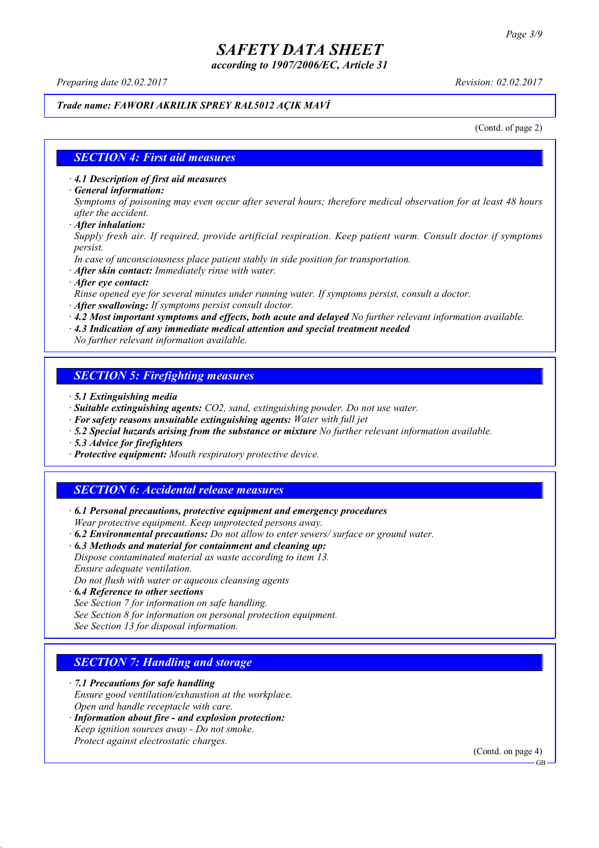*according to 1907/2006/EC, Article 31*

*Preparing date 02.02.2017 Revision: 02.02.2017*

#### *Trade name: FAWORI AKRILIK SPREY RAL5012 AÇIK MAVİ*

(Contd. of page 2)

#### *SECTION 4: First aid measures*

*· 4.1 Description of first aid measures*

*· General information:*

Symptoms of poisoning may even occur after several hours; therefore medical observation for at least 48 hours *after the accident.*

*· After inhalation:*

*Supply fresh air. If required, provide artificial respiration. Keep patient warm. Consult doctor if symptoms persist.*

*In case of unconsciousness place patient stably in side position for transportation.*

- *· After skin contact: Immediately rinse with water.*
- *· After eye contact:*

*Rinse opened eye for several minutes under running water. If symptoms persist, consult a doctor.*

*· After swallowing: If symptoms persist consult doctor.*

*· 4.2 Most important symptoms and effects, both acute and delayed No further relevant information available.*

*· 4.3 Indication of any immediate medical attention and special treatment needed*

*No further relevant information available.*

### *SECTION 5: Firefighting measures*

- *· 5.1 Extinguishing media*
- *· Suitable extinguishing agents: CO2, sand, extinguishing powder. Do not use water.*
- *· For safety reasons unsuitable extinguishing agents: Water with full jet*
- *· 5.2 Special hazards arising from the substance or mixture No further relevant information available.*
- *· 5.3 Advice for firefighters*
- *· Protective equipment: Mouth respiratory protective device.*

### *SECTION 6: Accidental release measures*

*· 6.1 Personal precautions, protective equipment and emergency procedures Wear protective equipment. Keep unprotected persons away.*

*· 6.2 Environmental precautions: Do not allow to enter sewers/ surface or ground water.*

*· 6.3 Methods and material for containment and cleaning up:*

*Dispose contaminated material as waste according to item 13. Ensure adequate ventilation.*

*Do not flush with water or aqueous cleansing agents*

- *· 6.4 Reference to other sections*
- *See Section 7 for information on safe handling.*
- *See Section 8 for information on personal protection equipment.*

*See Section 13 for disposal information.*

### *SECTION 7: Handling and storage*

*· 7.1 Precautions for safe handling*

*Ensure good ventilation/exhaustion at the workplace.*

- *Open and handle receptacle with care.*
- *· Information about fire - and explosion protection: Keep ignition sources away - Do not smoke.*
- *Protect against electrostatic charges.*

(Contd. on page 4)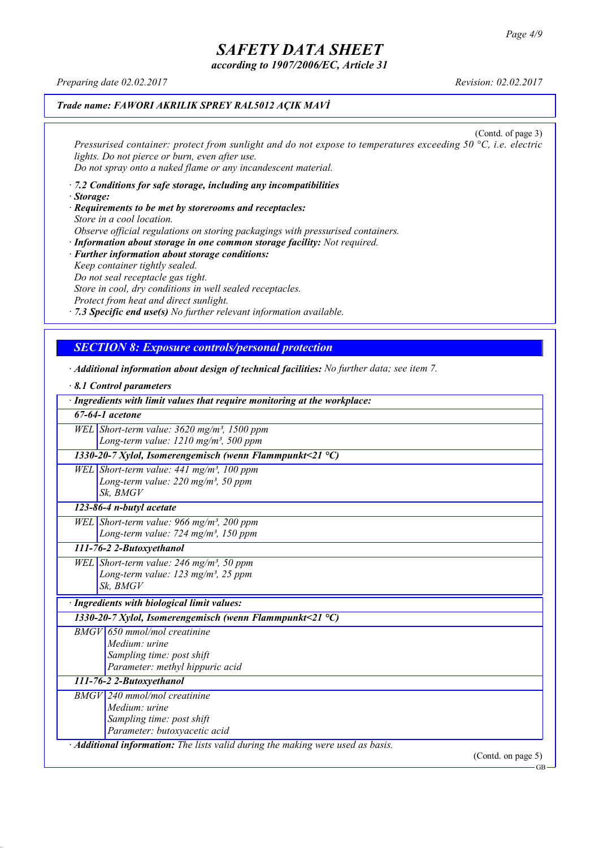*according to 1907/2006/EC, Article 31*

*Preparing date 02.02.2017 Revision: 02.02.2017*

### *Trade name: FAWORI AKRILIK SPREY RAL5012 AÇIK MAVİ*

(Contd. of page 3) *Pressurised container: protect from sunlight and do not expose to temperatures exceeding 50 °C, i.e. electric lights. Do not pierce or burn, even after use. Do not spray onto a naked flame or any incandescent material.*

- *· 7.2 Conditions for safe storage, including any incompatibilities · Storage:*
- *· Requirements to be met by storerooms and receptacles: Store in a cool location. Observe official regulations on storing packagings with pressurised containers.*
- *· Information about storage in one common storage facility: Not required. · Further information about storage conditions: Keep container tightly sealed. Do not seal receptacle gas tight. Store in cool, dry conditions in well sealed receptacles. Protect from heat and direct sunlight.*
- *· 7.3 Specific end use(s) No further relevant information available.*

### *SECTION 8: Exposure controls/personal protection*

- *· Additional information about design of technical facilities: No further data; see item 7.*
- *· 8.1 Control parameters · Ingredients with limit values that require monitoring at the workplace: 67-64-1 acetone WEL Short-term value: 3620 mg/m³, 1500 ppm Long-term value: 1210 mg/m³, 500 ppm 1330-20-7 Xylol, Isomerengemisch (wenn Flammpunkt<21 °C) WEL Short-term value: 441 mg/m³, 100 ppm Long-term value: 220 mg/m³, 50 ppm Sk, BMGV 123-86-4 n-butyl acetate WEL Short-term value: 966 mg/m³, 200 ppm Long-term value: 724 mg/m³, 150 ppm 111-76-2 2-Butoxyethanol WEL Short-term value: 246 mg/m³, 50 ppm Long-term value: 123 mg/m³, 25 ppm Sk, BMGV · Ingredients with biological limit values: 1330-20-7 Xylol, Isomerengemisch (wenn Flammpunkt<21 °C) BMGV 650 mmol/mol creatinine Medium: urine Sampling time: post shift Parameter: methyl hippuric acid 111-76-2 2-Butoxyethanol BMGV 240 mmol/mol creatinine Medium: urine Sampling time: post shift Parameter: butoxyacetic acid · Additional information: The lists valid during the making were used as basis.* (Contd. on page 5)

GB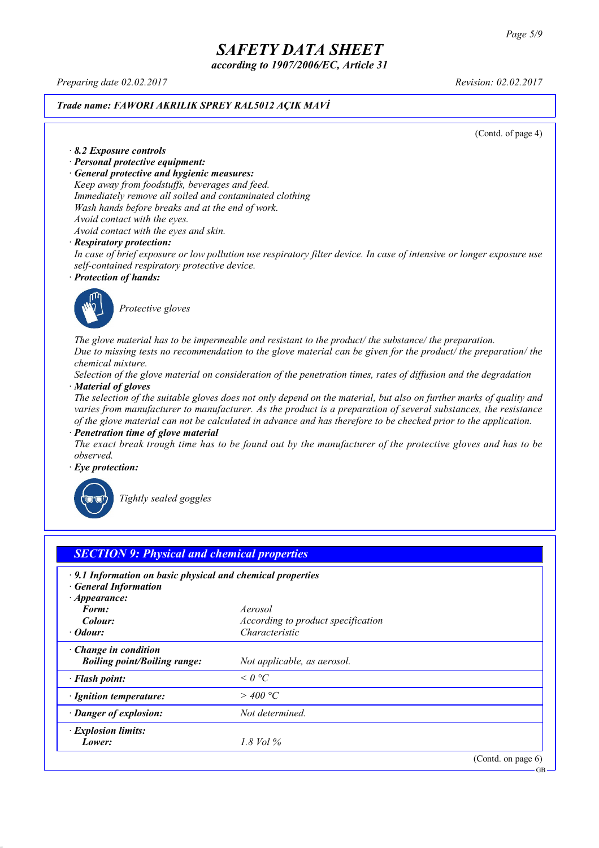*according to 1907/2006/EC, Article 31*

*Preparing date 02.02.2017 Revision: 02.02.2017*

#### *Trade name: FAWORI AKRILIK SPREY RAL5012 AÇIK MAVİ*

(Contd. of page 4)

*· 8.2 Exposure controls*

- *· Personal protective equipment:*
- *· General protective and hygienic measures:*

*Keep away from foodstuffs, beverages and feed. Immediately remove all soiled and contaminated clothing Wash hands before breaks and at the end of work. Avoid contact with the eyes.*

*Avoid contact with the eyes and skin.*

#### *· Respiratory protection:*

In case of brief exposure or low pollution use respiratory filter device. In case of intensive or longer exposure use *self-contained respiratory protective device.*

*· Protection of hands:*



*Protective gloves*

*The glove material has to be impermeable and resistant to the product/ the substance/ the preparation.* Due to missing tests no recommendation to the glove material can be given for the product/ the preparation/ the *chemical mixture.*

Selection of the glove material on consideration of the penetration times, rates of diffusion and the degradation *· Material of gloves*

The selection of the suitable gloves does not only depend on the material, but also on further marks of quality and *varies from manufacturer to manufacturer. As the product is a preparation of several substances, the resistance* of the glove material can not be calculated in advance and has therefore to be checked prior to the application.

*· Penetration time of glove material*

The exact break trough time has to be found out by the manufacturer of the protective gloves and has to be *observed.*

*· Eye protection:*



*Tightly sealed goggles*

| $\cdot$ 9.1 Information on basic physical and chemical properties<br><b>General Information</b> |                                    |  |
|-------------------------------------------------------------------------------------------------|------------------------------------|--|
| $\cdot$ Appearance:                                                                             |                                    |  |
| Form:                                                                                           | Aerosol                            |  |
| Colour:                                                                                         | According to product specification |  |
| · Odour:                                                                                        | Characteristic                     |  |
| $\cdot$ Change in condition                                                                     |                                    |  |
| <b>Boiling point/Boiling range:</b>                                                             | Not applicable, as aerosol.        |  |
| · Flash point:                                                                                  | $\leq$ 0 °C                        |  |
| · Ignition temperature:                                                                         | $>$ 400 °C                         |  |
| · Danger of explosion:                                                                          | Not determined.                    |  |
| · Explosion limits:                                                                             |                                    |  |
| Lower:                                                                                          | 1.8 Vol $\%$                       |  |

GB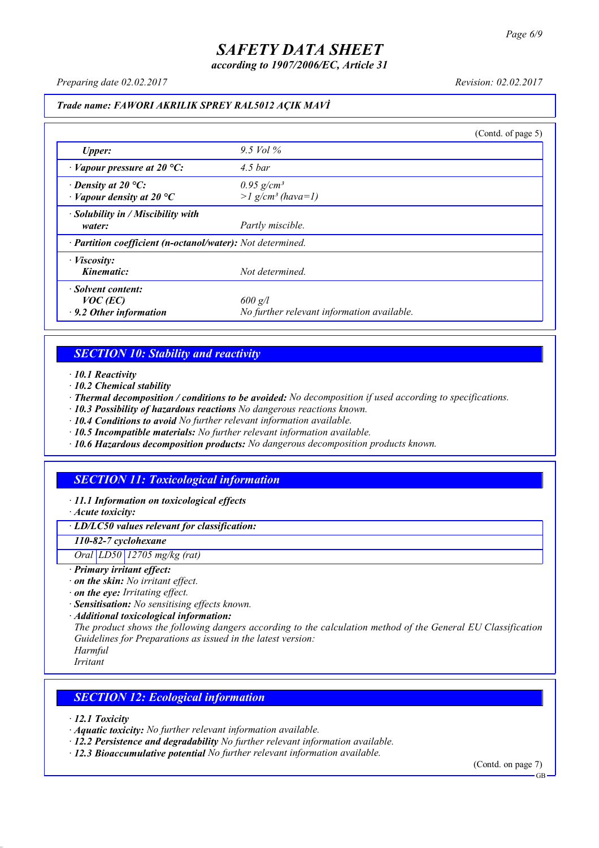*according to 1907/2006/EC, Article 31*

*Preparing date 02.02.2017 Revision: 02.02.2017*

#### *Trade name: FAWORI AKRILIK SPREY RAL5012 AÇIK MAVİ*

|                                                                   |                                                             | (Contd. of page 5) |
|-------------------------------------------------------------------|-------------------------------------------------------------|--------------------|
| <b>Upper:</b>                                                     | 9.5 Vol $\%$                                                |                    |
| $\cdot$ Vapour pressure at 20 °C:                                 | $4.5\,bar$                                                  |                    |
| $\cdot$ Density at 20 °C:<br>$\cdot$ Vapour density at 20 °C      | $0.95$ g/cm <sup>3</sup><br>$>l$ g/cm <sup>3</sup> (hava=1) |                    |
| · Solubility in / Miscibility with<br>water:                      | Partly miscible.                                            |                    |
| · Partition coefficient (n-octanol/water): Not determined.        |                                                             |                    |
| $\cdot$ <i>Viscosity:</i><br>Kinematic:                           | Not determined.                                             |                    |
| · Solvent content:<br>$VOC$ (EC)<br>$\cdot$ 9.2 Other information | $600$ g/l<br>No further relevant information available.     |                    |

### *SECTION 10: Stability and reactivity*

*· 10.1 Reactivity*

- *· 10.2 Chemical stability*
- *· Thermal decomposition / conditions to be avoided: No decomposition if used according to specifications.*
- *· 10.3 Possibility of hazardous reactions No dangerous reactions known.*
- *· 10.4 Conditions to avoid No further relevant information available.*
- *· 10.5 Incompatible materials: No further relevant information available.*
- *· 10.6 Hazardous decomposition products: No dangerous decomposition products known.*

## *SECTION 11: Toxicological information*

*· 11.1 Information on toxicological effects*

*· Acute toxicity:*

*· LD/LC50 values relevant for classification:*

*110-82-7 cyclohexane*

*Oral LD50 12705 mg/kg (rat)*

- *· Primary irritant effect:*
- *· on the skin: No irritant effect.*
- *· on the eye: Irritating effect.*
- *· Sensitisation: No sensitising effects known.*
- *· Additional toxicological information:*

*The product shows the following dangers according to the calculation method of the General EU Classification Guidelines for Preparations as issued in the latest version:*

*Harmful Irritant*

### *SECTION 12: Ecological information*

*· 12.1 Toxicity*

- *· Aquatic toxicity: No further relevant information available.*
- *· 12.2 Persistence and degradability No further relevant information available.*
- *· 12.3 Bioaccumulative potential No further relevant information available.*

(Contd. on page 7) **GB**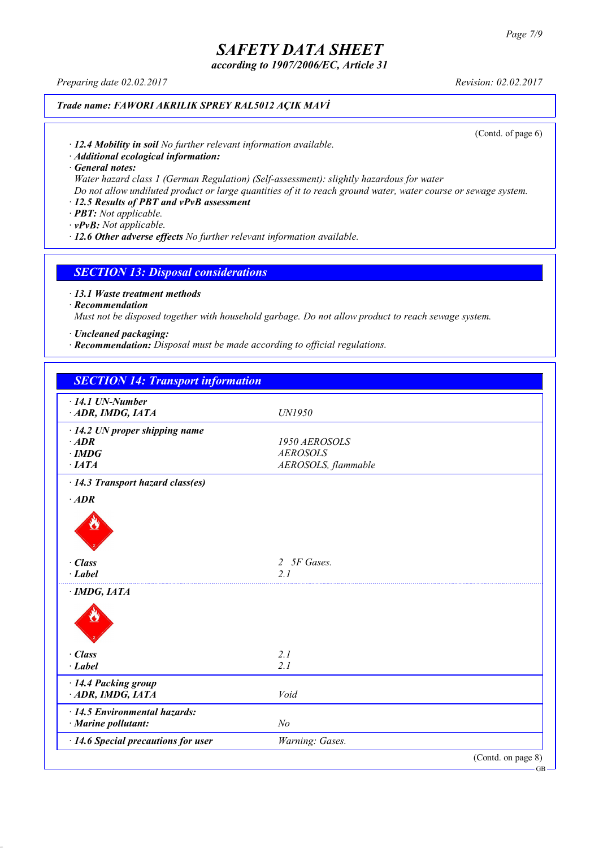*according to 1907/2006/EC, Article 31*

*Preparing date 02.02.2017 Revision: 02.02.2017*

### *Trade name: FAWORI AKRILIK SPREY RAL5012 AÇIK MAVİ*

(Contd. of page 6)

*· 12.4 Mobility in soil No further relevant information available.*

*· Additional ecological information:*

*· General notes:*

*Water hazard class 1 (German Regulation) (Self-assessment): slightly hazardous for water*

Do not allow undiluted product or large quantities of it to reach ground water, water course or sewage system.

## *· 12.5 Results of PBT and vPvB assessment*

*· PBT: Not applicable.*

*· vPvB: Not applicable.*

*· 12.6 Other adverse effects No further relevant information available.*

#### *SECTION 13: Disposal considerations*

*· 13.1 Waste treatment methods*

*· Recommendation*

*Must not be disposed together with household garbage. Do not allow product to reach sewage system.*

*· Uncleaned packaging:*

*· Recommendation: Disposal must be made according to official regulations.*

| <b>SECTION 14: Transport information</b>                   |                     |                    |
|------------------------------------------------------------|---------------------|--------------------|
| $\cdot$ 14.1 UN-Number                                     |                     |                    |
| ADR, IMDG, IATA                                            | UN1950              |                    |
| $\cdot$ 14.2 UN proper shipping name                       |                     |                    |
| $·$ <i>ADR</i>                                             | 1950 AEROSOLS       |                    |
| $\cdot$ IMDG                                               | <b>AEROSOLS</b>     |                    |
| ·IATA                                                      | AEROSOLS, flammable |                    |
| · 14.3 Transport hazard class(es)                          |                     |                    |
| $·$ <i>ADR</i>                                             |                     |                    |
|                                                            |                     |                    |
| $\cdot$ Class                                              | 2 5F Gases.         |                    |
| $\cdot$ Label                                              | 2.1                 |                    |
| · IMDG, IATA                                               |                     |                    |
|                                                            |                     |                    |
| $\cdot$ Class                                              | 2.1                 |                    |
| $-Label$                                                   | 2.1                 |                    |
| · 14.4 Packing group                                       |                     |                    |
| ADR, IMDG, IATA                                            | Void                |                    |
| $\cdot$ 14.5 Environmental hazards:<br>· Marine pollutant: | N <sub>o</sub>      |                    |
| · 14.6 Special precautions for user                        | Warning: Gases.     |                    |
|                                                            |                     | (Contd. on page 8) |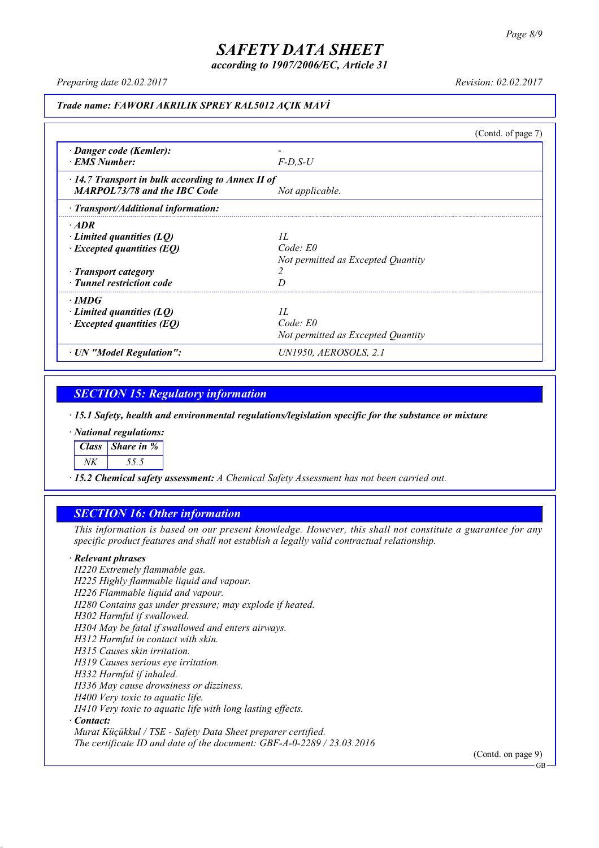*according to 1907/2006/EC, Article 31*

*Preparing date 02.02.2017 Revision: 02.02.2017*

#### *Trade name: FAWORI AKRILIK SPREY RAL5012 AÇIK MAVİ*

(Contd. of page 7) *· Danger code (Kemler): - · EMS Number: F-D,S-U · 14.7 Transport in bulk according to Annex II of MARPOL73/78 and the IBC Code Not applicable. · Transport/Additional information: · ADR · Limited quantities (LQ) 1L · Excepted quantities (EQ) Code: E0 Not permitted as Excepted Quantity · Transport category 2 · Tunnel restriction code D · IMDG · Limited quantities (LQ) 1L · Excepted quantities (EQ) Code: E0 Not permitted as Excepted Quantity · UN "Model Regulation": UN1950, AEROSOLS, 2.1*

### *SECTION 15: Regulatory information*

*· 15.1 Safety, health and environmental regulations/legislation specific for the substance or mixture*

*· National regulations:*

*Class Share in %*

*NK 55.5*

*· 15.2 Chemical safety assessment: A Chemical Safety Assessment has not been carried out.*

### *SECTION 16: Other information*

This information is based on our present knowledge. However, this shall not constitute a guarantee for any *specific product features and shall not establish a legally valid contractual relationship.*

#### *· Relevant phrases*

*H220 Extremely flammable gas. H225 Highly flammable liquid and vapour. H226 Flammable liquid and vapour. H280 Contains gas under pressure; may explode if heated. H302 Harmful if swallowed. H304 May be fatal if swallowed and enters airways. H312 Harmful in contact with skin. H315 Causes skin irritation. H319 Causes serious eye irritation. H332 Harmful if inhaled. H336 May cause drowsiness or dizziness. H400 Very toxic to aquatic life. H410 Very toxic to aquatic life with long lasting effects. · Contact: Murat Küçükkul / TSE - Safety Data Sheet preparer certified.*

*The certificate ID and date of the document: GBF-A-0-2289 / 23.03.2016*

(Contd. on page 9)

GB